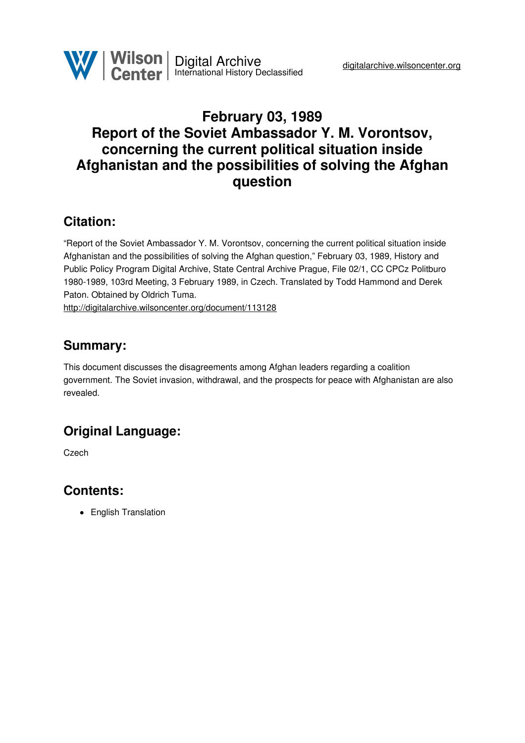# **February 03, 1989 Report of the Soviet Ambassador Y. M. Vorontsov, concerning the current political situation inside Afghanistan and the possibilities of solving the Afghan question**

### **Citation:**

"Report of the Soviet Ambassador Y. M. Vorontsov, concerning the current political situation inside Afghanistan and the possibilities of solving the Afghan question," February 03, 1989, History and Public Policy Program Digital Archive, State Central Archive Prague, File 02/1, CC CPCz Politburo 1980-1989, 103rd Meeting, 3 February 1989, in Czech. Translated by Todd Hammond and Derek Paton. Obtained by Oldrich Tuma.

<http://digitalarchive.wilsoncenter.org/document/113128>

### **Summary:**

This document discusses the disagreements among Afghan leaders regarding a coalition government. The Soviet invasion, withdrawal, and the prospects for peace with Afghanistan are also revealed.

# **Original Language:**

Czech

#### **Contents:**

• English Translation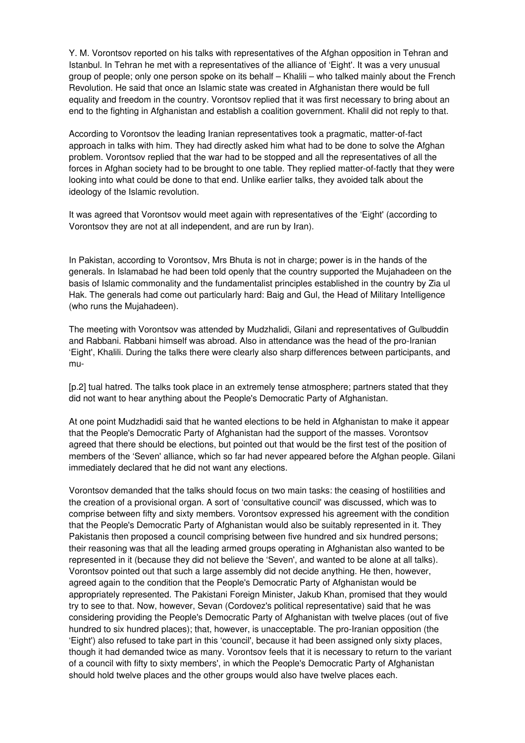Y. M. Vorontsov reported on his talks with representatives of the Afghan opposition in Tehran and Istanbul. In Tehran he met with a representatives of the alliance of 'Eight'. It was a very unusual group of people; only one person spoke on its behalf – Khalili – who talked mainly about the French Revolution. He said that once an Islamic state was created in Afghanistan there would be full equality and freedom in the country. Vorontsov replied that it was first necessary to bring about an end to the fighting in Afghanistan and establish a coalition government. Khalil did not reply to that.

According to Vorontsov the leading Iranian representatives took a pragmatic, matter-of-fact approach in talks with him. They had directly asked him what had to be done to solve the Afghan problem. Vorontsov replied that the war had to be stopped and all the representatives of all the forces in Afghan society had to be brought to one table. They replied matter-of-factly that they were looking into what could be done to that end. Unlike earlier talks, they avoided talk about the ideology of the Islamic revolution.

It was agreed that Vorontsov would meet again with representatives of the 'Eight' (according to Vorontsov they are not at all independent, and are run by Iran).

In Pakistan, according to Vorontsov, Mrs Bhuta is not in charge; power is in the hands of the generals. In Islamabad he had been told openly that the country supported the Mujahadeen on the basis of Islamic commonality and the fundamentalist principles established in the country by Zia ul Hak. The generals had come out particularly hard: Baig and Gul, the Head of Military Intelligence (who runs the Mujahadeen).

The meeting with Vorontsov was attended by Mudzhalidi, Gilani and representatives of Gulbuddin and Rabbani. Rabbani himself was abroad. Also in attendance was the head of the pro-Iranian 'Eight', Khalili. During the talks there were clearly also sharp differences between participants, and mu-

[p.2] tual hatred. The talks took place in an extremely tense atmosphere; partners stated that they did not want to hear anything about the People's Democratic Party of Afghanistan.

At one point Mudzhadidi said that he wanted elections to be held in Afghanistan to make it appear that the People's Democratic Party of Afghanistan had the support of the masses. Vorontsov agreed that there should be elections, but pointed out that would be the first test of the position of members of the 'Seven' alliance, which so far had never appeared before the Afghan people. Gilani immediately declared that he did not want any elections.

Vorontsov demanded that the talks should focus on two main tasks: the ceasing of hostilities and the creation of a provisional organ. A sort of 'consultative council' was discussed, which was to comprise between fifty and sixty members. Vorontsov expressed his agreement with the condition that the People's Democratic Party of Afghanistan would also be suitably represented in it. They Pakistanis then proposed a council comprising between five hundred and six hundred persons; their reasoning was that all the leading armed groups operating in Afghanistan also wanted to be represented in it (because they did not believe the 'Seven', and wanted to be alone at all talks). Vorontsov pointed out that such a large assembly did not decide anything. He then, however, agreed again to the condition that the People's Democratic Party of Afghanistan would be appropriately represented. The Pakistani Foreign Minister, Jakub Khan, promised that they would try to see to that. Now, however, Sevan (Cordovez's political representative) said that he was considering providing the People's Democratic Party of Afghanistan with twelve places (out of five hundred to six hundred places); that, however, is unacceptable. The pro-Iranian opposition (the 'Eight') also refused to take part in this 'council', because it had been assigned only sixty places, though it had demanded twice as many. Vorontsov feels that it is necessary to return to the variant of a council with fifty to sixty members', in which the People's Democratic Party of Afghanistan should hold twelve places and the other groups would also have twelve places each.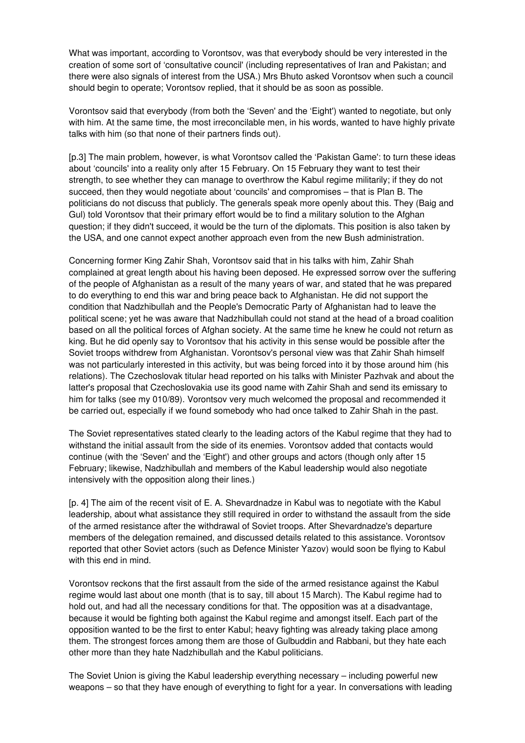What was important, according to Vorontsov, was that everybody should be very interested in the creation of some sort of 'consultative council' (including representatives of Iran and Pakistan; and there were also signals of interest from the USA.) Mrs Bhuto asked Vorontsov when such a council should begin to operate; Vorontsov replied, that it should be as soon as possible.

Vorontsov said that everybody (from both the 'Seven' and the 'Eight') wanted to negotiate, but only with him. At the same time, the most irreconcilable men, in his words, wanted to have highly private talks with him (so that none of their partners finds out).

[p.3] The main problem, however, is what Vorontsov called the 'Pakistan Game': to turn these ideas about 'councils' into a reality only after 15 February. On 15 February they want to test their strength, to see whether they can manage to overthrow the Kabul regime militarily; if they do not succeed, then they would negotiate about 'councils' and compromises – that is Plan B. The politicians do not discuss that publicly. The generals speak more openly about this. They (Baig and Gul) told Vorontsov that their primary effort would be to find a military solution to the Afghan question; if they didn't succeed, it would be the turn of the diplomats. This position is also taken by the USA, and one cannot expect another approach even from the new Bush administration.

Concerning former King Zahir Shah, Vorontsov said that in his talks with him, Zahir Shah complained at great length about his having been deposed. He expressed sorrow over the suffering of the people of Afghanistan as a result of the many years of war, and stated that he was prepared to do everything to end this war and bring peace back to Afghanistan. He did not support the condition that Nadzhibullah and the People's Democratic Party of Afghanistan had to leave the political scene; yet he was aware that Nadzhibullah could not stand at the head of a broad coalition based on all the political forces of Afghan society. At the same time he knew he could not return as king. But he did openly say to Vorontsov that his activity in this sense would be possible after the Soviet troops withdrew from Afghanistan. Vorontsov's personal view was that Zahir Shah himself was not particularly interested in this activity, but was being forced into it by those around him (his relations). The Czechoslovak titular head reported on his talks with Minister Pazhvak and about the latter's proposal that Czechoslovakia use its good name with Zahir Shah and send its emissary to him for talks (see my 010/89). Vorontsov very much welcomed the proposal and recommended it be carried out, especially if we found somebody who had once talked to Zahir Shah in the past.

The Soviet representatives stated clearly to the leading actors of the Kabul regime that they had to withstand the initial assault from the side of its enemies. Vorontsov added that contacts would continue (with the 'Seven' and the 'Eight') and other groups and actors (though only after 15 February; likewise, Nadzhibullah and members of the Kabul leadership would also negotiate intensively with the opposition along their lines.)

[p. 4] The aim of the recent visit of E. A. Shevardnadze in Kabul was to negotiate with the Kabul leadership, about what assistance they still required in order to withstand the assault from the side of the armed resistance after the withdrawal of Soviet troops. After Shevardnadze's departure members of the delegation remained, and discussed details related to this assistance. Vorontsov reported that other Soviet actors (such as Defence Minister Yazov) would soon be flying to Kabul with this end in mind.

Vorontsov reckons that the first assault from the side of the armed resistance against the Kabul regime would last about one month (that is to say, till about 15 March). The Kabul regime had to hold out, and had all the necessary conditions for that. The opposition was at a disadvantage, because it would be fighting both against the Kabul regime and amongst itself. Each part of the opposition wanted to be the first to enter Kabul; heavy fighting was already taking place among them. The strongest forces among them are those of Gulbuddin and Rabbani, but they hate each other more than they hate Nadzhibullah and the Kabul politicians.

The Soviet Union is giving the Kabul leadership everything necessary – including powerful new weapons – so that they have enough of everything to fight for a year. In conversations with leading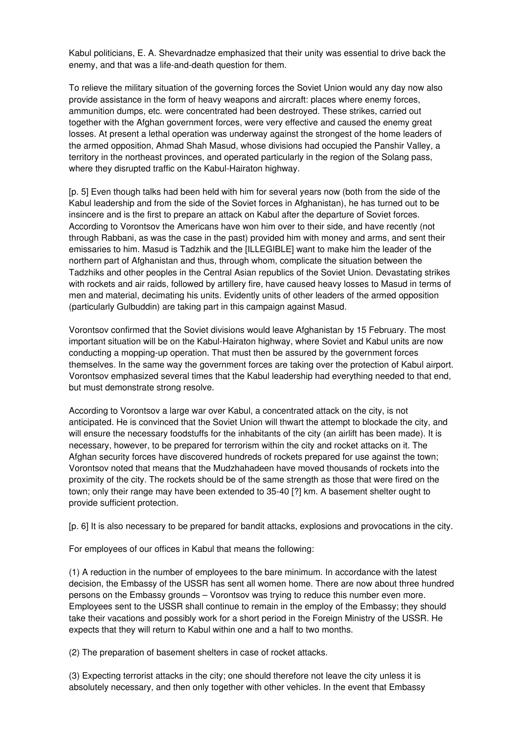Kabul politicians, E. A. Shevardnadze emphasized that their unity was essential to drive back the enemy, and that was a life-and-death question for them.

To relieve the military situation of the governing forces the Soviet Union would any day now also provide assistance in the form of heavy weapons and aircraft: places where enemy forces, ammunition dumps, etc. were concentrated had been destroyed. These strikes, carried out together with the Afghan government forces, were very effective and caused the enemy great losses. At present a lethal operation was underway against the strongest of the home leaders of the armed opposition, Ahmad Shah Masud, whose divisions had occupied the Panshir Valley, a territory in the northeast provinces, and operated particularly in the region of the Solang pass, where they disrupted traffic on the Kabul-Hairaton highway.

[p. 5] Even though talks had been held with him for several years now (both from the side of the Kabul leadership and from the side of the Soviet forces in Afghanistan), he has turned out to be insincere and is the first to prepare an attack on Kabul after the departure of Soviet forces. According to Vorontsov the Americans have won him over to their side, and have recently (not through Rabbani, as was the case in the past) provided him with money and arms, and sent their emissaries to him. Masud is Tadzhik and the [ILLEGIBLE] want to make him the leader of the northern part of Afghanistan and thus, through whom, complicate the situation between the Tadzhiks and other peoples in the Central Asian republics of the Soviet Union. Devastating strikes with rockets and air raids, followed by artillery fire, have caused heavy losses to Masud in terms of men and material, decimating his units. Evidently units of other leaders of the armed opposition (particularly Gulbuddin) are taking part in this campaign against Masud.

Vorontsov confirmed that the Soviet divisions would leave Afghanistan by 15 February. The most important situation will be on the Kabul-Hairaton highway, where Soviet and Kabul units are now conducting a mopping-up operation. That must then be assured by the government forces themselves. In the same way the government forces are taking over the protection of Kabul airport. Vorontsov emphasized several times that the Kabul leadership had everything needed to that end, but must demonstrate strong resolve.

According to Vorontsov a large war over Kabul, a concentrated attack on the city, is not anticipated. He is convinced that the Soviet Union will thwart the attempt to blockade the city, and will ensure the necessary foodstuffs for the inhabitants of the city (an airlift has been made). It is necessary, however, to be prepared for terrorism within the city and rocket attacks on it. The Afghan security forces have discovered hundreds of rockets prepared for use against the town; Vorontsov noted that means that the Mudzhahadeen have moved thousands of rockets into the proximity of the city. The rockets should be of the same strength as those that were fired on the town; only their range may have been extended to 35-40 [?] km. A basement shelter ought to provide sufficient protection.

[p. 6] It is also necessary to be prepared for bandit attacks, explosions and provocations in the city.

For employees of our offices in Kabul that means the following:

(1) A reduction in the number of employees to the bare minimum. In accordance with the latest decision, the Embassy of the USSR has sent all women home. There are now about three hundred persons on the Embassy grounds – Vorontsov was trying to reduce this number even more. Employees sent to the USSR shall continue to remain in the employ of the Embassy; they should take their vacations and possibly work for a short period in the Foreign Ministry of the USSR. He expects that they will return to Kabul within one and a half to two months.

(2) The preparation of basement shelters in case of rocket attacks.

(3) Expecting terrorist attacks in the city; one should therefore not leave the city unless it is absolutely necessary, and then only together with other vehicles. In the event that Embassy